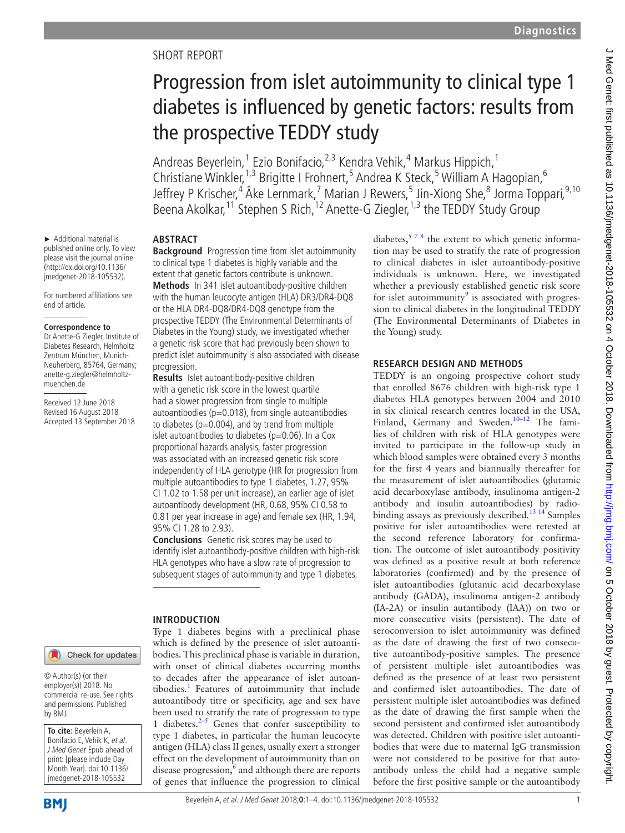# SHORT REPORT

# Progression from islet autoimmunity to clinical type 1 diabetes is influenced by genetic factors: results from the prospective TEDDY study

Andreas Beyerlein,<sup>1</sup> Ezio Bonifacio,<sup>2,3</sup> Kendra Vehik,<sup>4</sup> Markus Hippich,<sup>1</sup> Christiane Winkler,<sup>1,3</sup> Brigitte I Frohnert,<sup>5</sup> Andrea K Steck,<sup>5</sup> William A Hagopian,<sup>6</sup> Jeffrey P Krischer,<sup>4</sup> Åke Lernmark,<sup>7</sup> Marian J Rewers,<sup>5</sup> Jin-Xiong She,<sup>8</sup> Jorma Toppari,<sup>9,10</sup> Beena Akolkar,<sup>11</sup> Stephen S Rich,<sup>12</sup> Anette-G Ziegler,<sup>1,3</sup> the TEDDY Study Group

# **Abstract**

**Background** Progression time from islet autoimmunity to clinical type 1 diabetes is highly variable and the extent that genetic factors contribute is unknown. **Methods** In 341 islet autoantibody-positive children

with the human leucocyte antigen (HLA) DR3/DR4-DQ8 or the HLA DR4-DQ8/DR4-DQ8 genotype from the prospective TEDDY (The Environmental Determinants of Diabetes in the Young) study, we investigated whether a genetic risk score that had previously been shown to predict islet autoimmunity is also associated with disease progression.

**Results** Islet autoantibody-positive children with a genetic risk score in the lowest quartile had a slower progression from single to multiple autoantibodies ( $p=0.018$ ), from single autoantibodies to diabetes ( $p=0.004$ ), and by trend from multiple islet autoantibodies to diabetes ( $p=0.06$ ). In a Cox proportional hazards analysis, faster progression was associated with an increased genetic risk score independently of HLA genotype (HR for progression from multiple autoantibodies to type 1 diabetes, 1.27, 95% CI 1.02 to 1.58 per unit increase), an earlier age of islet autoantibody development (HR, 0.68, 95% CI 0.58 to 0.81 per year increase in age) and female sex (HR, 1.94, 95% CI 1.28 to 2.93).

**Conclusions** Genetic risk scores may be used to identify islet autoantibody-positive children with high-risk HLA genotypes who have a slow rate of progression to subsequent stages of autoimmunity and type 1 diabetes.

#### **Introduction**

Type 1 diabetes begins with a preclinical phase which is defined by the presence of islet autoantibodies. This preclinical phase is variable in duration, with onset of clinical diabetes occurring months to decades after the appearance of islet autoantibodies.<sup>1</sup> Features of autoimmunity that include autoantibody titre or specificity, age and sex have been used to stratify the rate of progression to type 1 diabetes. $2-5$  Genes that confer susceptibility to type 1 diabetes, in particular the human leucocyte antigen (HLA) class II genes, usually exert a stronger effect on the development of autoimmunity than on disease progression, $\frac{6}{6}$  $\frac{6}{6}$  $\frac{6}{6}$  and although there are reports of genes that influence the progression to clinical

diabetes,  $578$  the extent to which genetic information may be used to stratify the rate of progression to clinical diabetes in islet autoantibody-positive individuals is unknown. Here, we investigated whether a previously established genetic risk score for islet autoimmunity $9$  is associated with progression to clinical diabetes in the longitudinal TEDDY (The Environmental Determinants of Diabetes in the Young) study.

# **Research design and methods**

TEDDY is an ongoing prospective cohort study that enrolled 8676 children with high-risk type 1 diabetes HLA genotypes between 2004 and 2010 in six clinical research centres located in the USA, Finland, Germany and Sweden.<sup>10-12</sup> The families of children with risk of HLA genotypes were invited to participate in the follow-up study in which blood samples were obtained every 3 months for the first 4 years and biannually thereafter for the measurement of islet autoantibodies (glutamic acid decarboxylase antibody, insulinoma antigen-2 antibody and insulin autoantibodies) by radiobinding assays as previously described.<sup>13 14</sup> Samples positive for islet autoantibodies were retested at the second reference laboratory for confirmation. The outcome of islet autoantibody positivity was defined as a positive result at both reference laboratories (confirmed) and by the presence of islet autoantibodies (glutamic acid decarboxylase antibody (GADA), insulinoma antigen-2 antibody (IA-2A) or insulin autantibody (IAA)) on two or more consecutive visits (persistent). The date of seroconversion to islet autoimmunity was defined as the date of drawing the first of two consecutive autoantibody-positive samples. The presence of persistent multiple islet autoantibodies was defined as the presence of at least two persistent and confirmed islet autoantibodies. The date of persistent multiple islet autoantibodies was defined as the date of drawing the first sample when the second persistent and confirmed islet autoantibody was detected. Children with positive islet autoantibodies that were due to maternal IgG transmission were not considered to be positive for that autoantibody unless the child had a negative sample before the first positive sample or the autoantibody

# Check for updates

► Additional material is published online only. To view please visit the journal online (http://dx.doi.org/10.1136/ jmedgenet-2018-105532). For numbered affiliations see

end of article.

muenchen.de

**Correspondence to** Dr Anette-G Ziegler, Institute of Diabetes Research, Helmholtz Zentrum München, Munich-Neuherberg, 85764, Germany; anette-g.ziegler@helmholtz-

Received 12 June 2018 Revised 16 August 2018 Accepted 13 September 2018

© Author(s) (or their employer(s)) 2018. No commercial re-use. See rights and permissions. Published by BMJ.

**To cite:** Beyerlein A, Bonifacio E, Vehik K, et al. J Med Genet Epub ahead of print: [please include Day Month Year]. doi:10.1136/ jmedgenet-2018-105532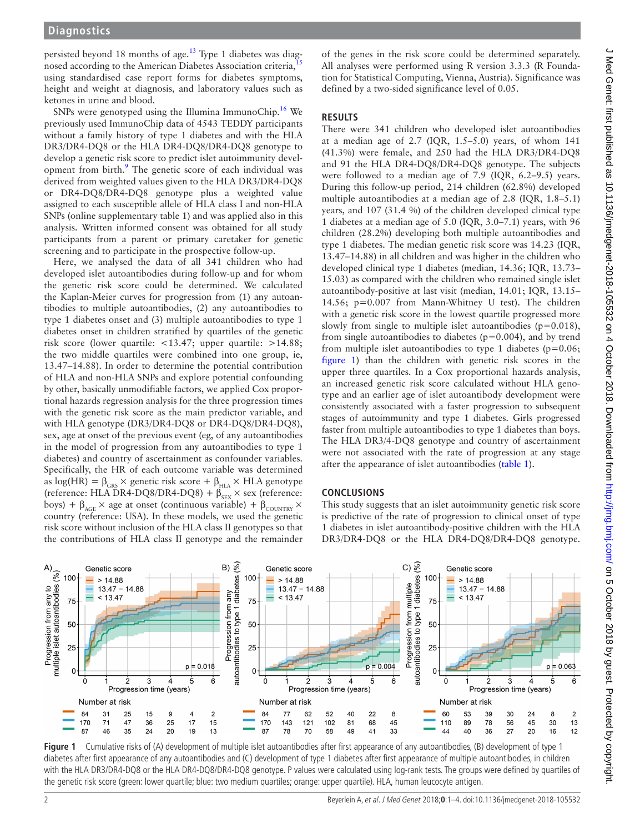persisted beyond 18 months of age.<sup>13</sup> Type 1 diabetes was diagnosed according to the American Diabetes Association criteria, using standardised case report forms for diabetes symptoms, height and weight at diagnosis, and laboratory values such as ketones in urine and blood.

SNPs were genotyped using the Illumina ImmunoChip.<sup>[16](#page-3-4)</sup> We previously used ImmunoChip data of 4543 TEDDY participants without a family history of type 1 diabetes and with the HLA DR3/DR4-DQ8 or the HLA DR4-DQ8/DR4-DQ8 genotype to develop a genetic risk score to predict islet autoimmunity development from birth.<sup>9</sup> The genetic score of each individual was derived from weighted values given to the HLA DR3/DR4-DQ8 or DR4-DQ8/DR4-DQ8 genotype plus a weighted value assigned to each susceptible allele of HLA class I and non-HLA SNPs (online [supplementary table 1](https://dx.doi.org/10.1136/jmedgenet-2018-105532)) and was applied also in this analysis. Written informed consent was obtained for all study participants from a parent or primary caretaker for genetic screening and to participate in the prospective follow-up.

Here, we analysed the data of all 341 children who had developed islet autoantibodies during follow-up and for whom the genetic risk score could be determined. We calculated the Kaplan-Meier curves for progression from (1) any autoantibodies to multiple autoantibodies, (2) any autoantibodies to type 1 diabetes onset and (3) multiple autoantibodies to type 1 diabetes onset in children stratified by quartiles of the genetic risk score (lower quartile: <13.47; upper quartile: >14.88; the two middle quartiles were combined into one group, ie, 13.47–14.88). In order to determine the potential contribution of HLA and non-HLA SNPs and explore potential confounding by other, basically unmodifiable factors, we applied Cox proportional hazards regression analysis for the three progression times with the genetic risk score as the main predictor variable, and with HLA genotype (DR3/DR4-DQ8 or DR4-DQ8/DR4-DQ8), sex, age at onset of the previous event (eg, of any autoantibodies in the model of progression from any autoantibodies to type 1 diabetes) and country of ascertainment as confounder variables. Specifically, the HR of each outcome variable was determined as  $log(HR) = \beta_{GRS} \times$  genetic risk score +  $\beta_{HLA} \times HLA$  genotype (reference: HLA DR4-DQ8/DR4-DQ8) +  $\beta_{\text{SEX}} \times$  sex (reference: boys) +  $\beta_{\text{AGE}} \times$  age at onset (continuous variable) +  $\beta_{\text{COUNTRY}} \times$ country (reference: USA). In these models, we used the genetic risk score without inclusion of the HLA class II genotypes so that the contributions of HLA class II genotype and the remainder

of the genes in the risk score could be determined separately. All analyses were performed using R version 3.3.3 (R Foundation for Statistical Computing, Vienna, Austria). Significance was defined by a two-sided significance level of 0.05.

#### **Results**

There were 341 children who developed islet autoantibodies at a median age of  $2.7$  (IQR,  $1.5-5.0$ ) years, of whom  $141$ (41.3%) were female, and 250 had the HLA DR3/DR4-DQ8 and 91 the HLA DR4-DQ8/DR4-DQ8 genotype. The subjects were followed to a median age of 7.9 (IQR, 6.2–9.5) years. During this follow-up period, 214 children (62.8%) developed multiple autoantibodies at a median age of 2.8 (IQR, 1.8–5.1) years, and 107 (31.4 %) of the children developed clinical type 1 diabetes at a median age of 5.0 (IQR, 3.0–7.1) years, with 96 children (28.2%) developing both multiple autoantibodies and type 1 diabetes. The median genetic risk score was 14.23 (IQR, 13.47–14.88) in all children and was higher in the children who developed clinical type 1 diabetes (median, 14.36; IQR, 13.73– 15.03) as compared with the children who remained single islet autoantibody-positive at last visit (median, 14.01; IQR, 13.15– 14.56; p=0.007 from Mann-Whitney U test). The children with a genetic risk score in the lowest quartile progressed more slowly from single to multiple islet autoantibodies  $(p=0.018)$ , from single autoantibodies to diabetes ( $p=0.004$ ), and by trend from multiple islet autoantibodies to type 1 diabetes ( $p=0.06$ ; [figure](#page-1-0) 1) than the children with genetic risk scores in the upper three quartiles. In a Cox proportional hazards analysis, an increased genetic risk score calculated without HLA genotype and an earlier age of islet autoantibody development were consistently associated with a faster progression to subsequent stages of autoimmunity and type 1 diabetes. Girls progressed faster from multiple autoantibodies to type 1 diabetes than boys. The HLA DR3/4-DQ8 genotype and country of ascertainment were not associated with the rate of progression at any stage after the appearance of islet autoantibodies [\(table](#page-2-4) 1).

#### **Conclusions**

This study suggests that an islet autoimmunity genetic risk score is predictive of the rate of progression to clinical onset of type 1 diabetes in islet autoantibody-positive children with the HLA DR3/DR4-DQ8 or the HLA DR4-DQ8/DR4-DQ8 genotype.



<span id="page-1-0"></span>**Figure 1** Cumulative risks of (A) development of multiple islet autoantibodies after first appearance of any autoantibodies, (B) development of type 1 diabetes after first appearance of any autoantibodies and (C) development of type 1 diabetes after first appearance of multiple autoantibodies, in children with the HLA DR3/DR4-DQ8 or the HLA DR4-DQ8/DR4-DQ8 genotype. P values were calculated using log-rank tests. The groups were defined by quartiles of the genetic risk score (green: lower quartile; blue: two medium quartiles; orange: upper quartile). HLA, human leucocyte antigen.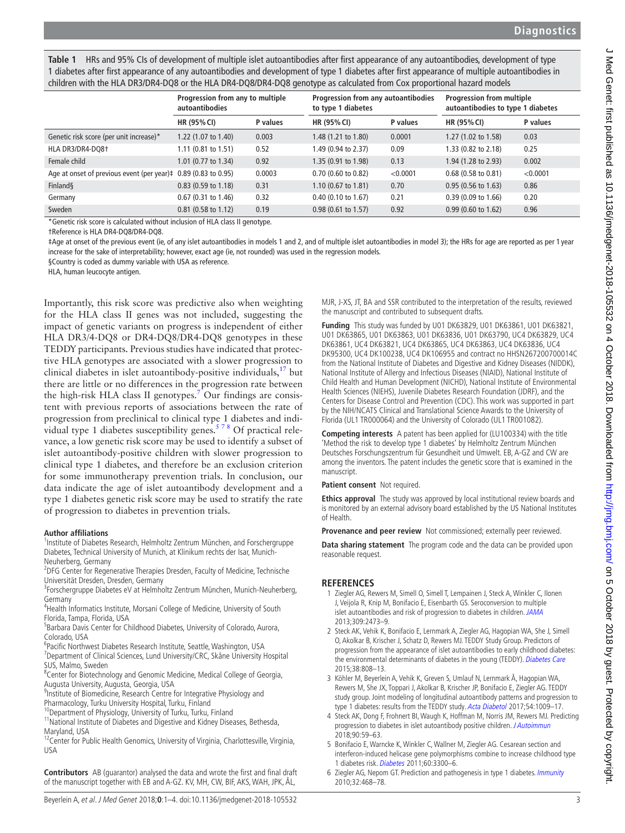J Med Genet: first published as 10.1136/jmedgenet-2018-105532 on 4 October 2018. Downloaded from http://jmg.bmj.com/ on 5 October 2018 by guest. Protected by copyright. J Med Genet: first published as 10.1136/jmedgenet-2018-105532 on 4 October 2018. Downloaded from <http://jmg.bmj.com/> on 5 October 2018 by guest. Protected by copyright.

<span id="page-2-4"></span>**Table 1** HRs and 95% CIs of development of multiple islet autoantibodies after first appearance of any autoantibodies, development of type 1 diabetes after first appearance of any autoantibodies and development of type 1 diabetes after first appearance of multiple autoantibodies in children with the HLA DR3/DR4-DQ8 or the HLA DR4-DQ8/DR4-DQ8 genotype as calculated from Cox proportional hazard models

|                                                                          | Progression from any to multiple<br>autoantibodies |          | Progression from any autoantibodies<br>to type 1 diabetes |          | <b>Progression from multiple</b><br>autoantibodies to type 1 diabetes |          |
|--------------------------------------------------------------------------|----------------------------------------------------|----------|-----------------------------------------------------------|----------|-----------------------------------------------------------------------|----------|
|                                                                          | HR (95% CI)                                        | P values | <b>HR (95% CI)</b>                                        | P values | HR (95% CI)                                                           | P values |
| Genetic risk score (per unit increase)*                                  | 1.22 (1.07 to 1.40)                                | 0.003    | 1.48 (1.21 to 1.80)                                       | 0.0001   | 1.27 (1.02 to 1.58)                                                   | 0.03     |
| HLA DR3/DR4-DQ8+                                                         | $1.11$ (0.81 to 1.51)                              | 0.52     | 1.49 (0.94 to 2.37)                                       | 0.09     | 1.33 (0.82 to 2.18)                                                   | 0.25     |
| Female child                                                             | 1.01 (0.77 to 1.34)                                | 0.92     | 1.35 (0.91 to 1.98)                                       | 0.13     | 1.94 (1.28 to 2.93)                                                   | 0.002    |
| Age at onset of previous event (per year) $\ddagger$ 0.89 (0.83 to 0.95) |                                                    | 0.0003   | $0.70$ (0.60 to 0.82)                                     | < 0.0001 | 0.68 (0.58 to 0.81)                                                   | < 0.0001 |
| Finland§                                                                 | $0.83$ (0.59 to 1.18)                              | 0.31     | $1.10$ (0.67 to 1.81)                                     | 0.70     | $0.95(0.56 \text{ to } 1.63)$                                         | 0.86     |
| Germany                                                                  | $0.67$ (0.31 to 1.46)                              | 0.32     | $0.40$ (0.10 to 1.67)                                     | 0.21     | 0.39 (0.09 to 1.66)                                                   | 0.20     |
| Sweden                                                                   | $0.81$ (0.58 to 1.12)                              | 0.19     | $0.98(0.61 \text{ to } 1.57)$                             | 0.92     | $0.99(0.60 \text{ to } 1.62)$                                         | 0.96     |

\*Genetic risk score is calculated without inclusion of HLA class II genotype.

†Reference is HLA DR4-DQ8/DR4-DQ8.

‡Age at onset of the previous event (ie, of any islet autoantibodies in models 1 and 2, and of multiple islet autoantibodies in model 3); the HRs for age are reported as per 1 year increase for the sake of interpretability; however, exact age (ie, not rounded) was used in the regression models.

§Country is coded as dummy variable with USA as reference.

HLA, human leucocyte antigen.

Importantly, this risk score was predictive also when weighting for the HLA class II genes was not included, suggesting the impact of genetic variants on progress is independent of either HLA DR3/4-DQ8 or DR4-DQ8/DR4-DQ8 genotypes in these TEDDY participants. Previous studies have indicated that protective HLA genotypes are associated with a slower progression to clinical diabetes in islet autoantibody-positive individuals, $17$  but there are little or no differences in the progression rate between the high-risk HLA class II genotypes.<sup>[7](#page-3-6)</sup> Our findings are consistent with previous reports of associations between the rate of progression from preclinical to clinical type 1 diabetes and individual type 1 diabetes susceptibility genes.<sup>578</sup> Of practical relevance, a low genetic risk score may be used to identify a subset of islet autoantibody-positive children with slower progression to clinical type 1 diabetes, and therefore be an exclusion criterion for some immunotherapy prevention trials. In conclusion, our data indicate the age of islet autoantibody development and a type 1 diabetes genetic risk score may be used to stratify the rate of progression to diabetes in prevention trials.

# **Author affiliations**

<sup>1</sup>Institute of Diabetes Research, Helmholtz Zentrum München, and Forschergruppe Diabetes, Technical University of Munich, at Klinikum rechts der Isar, Munich-Neuherberg, Germany

<sup>2</sup>DFG Center for Regenerative Therapies Dresden, Faculty of Medicine, Technische Universität Dresden, Dresden, Germany <sup>3</sup>

<sup>3</sup>Forschergruppe Diabetes eV at Helmholtz Zentrum München, Munich-Neuherberg, Germany

<sup>4</sup>Health Informatics Institute, Morsani College of Medicine, University of South Florida, Tampa, Florida, USA <sup>5</sup>

<sup>5</sup>Barbara Davis Center for Childhood Diabetes, University of Colorado, Aurora, Colorado, USA

<sup>6</sup> Pacific Northwest Diabetes Research Institute, Seattle, Washington, USA<br><sup>7</sup> Department of Clinical Sciences, Lund University (CBC, Skåne University) <sup>7</sup>Department of Clinical Sciences, Lund University/CRC, Skåne University Hospital SUS, Malmo, Sweden

<sup>8</sup> Center for Biotechnology and Genomic Medicine, Medical College of Georgia,

Augusta University, Augusta, Georgia, USA<br><sup>9</sup>Institute of Biomedicine, Research Centre for Integrative Physiology and

Pharmacology, Turku University Hospital, Turku, Finland<br><sup>10</sup>Department of Physiology, University of Turku, Turku, Finland 11National Institute of Diabetes and Digestive and Kidney Diseases, Bethesda, Maryland, USA

<sup>12</sup>Center for Public Health Genomics, University of Virginia, Charlottesville, Virginia, USA

**Contributors** AB (guarantor) analysed the data and wrote the first and final draft of the manuscript together with EB and A-GZ. KV, MH, CW, BIF, AKS, WAH, JPK, ÅL,

MJR, J-XS, JT, BA and SSR contributed to the interpretation of the results, reviewed the manuscript and contributed to subsequent drafts.

**Funding** This study was funded by U01 DK63829, U01 DK63861, U01 DK63821, U01 DK63865, U01 DK63863, U01 DK63836, U01 DK63790, UC4 DK63829, UC4 DK63861, UC4 DK63821, UC4 DK63865, UC4 DK63863, UC4 DK63836, UC4 DK95300, UC4 DK100238, UC4 DK106955 and contract no HHSN267200700014C from the National Institute of Diabetes and Digestive and Kidney Diseases (NIDDK), National Institute of Allergy and Infectious Diseases (NIAID), National Institute of Child Health and Human Development (NICHD), National Institute of Environmental Health Sciences (NIEHS), Juvenile Diabetes Research Foundation (JDRF), and the Centers for Disease Control and Prevention (CDC). This work was supported in part by the NIH/NCATS Clinical and Translational Science Awards to the University of Florida (UL1 TR000064) and the University of Colorado (UL1 TR001082).

**Competing interests** A patent has been applied for (LU100334) with the title 'Method the risk to develop type 1 diabetes' by Helmholtz Zentrum München Deutsches Forschungszentrum für Gesundheit und Umwelt. EB, A-GZ and CW are among the inventors. The patent includes the genetic score that is examined in the manuscript.

**Patient consent** Not required.

**Ethics approval** The study was approved by local institutional review boards and is monitored by an external advisory board established by the US National Institutes of Health.

**Provenance and peer review** Not commissioned; externally peer reviewed.

**Data sharing statement** The program code and the data can be provided upon reasonable request.

# **References**

- <span id="page-2-0"></span>1 Ziegler AG, Rewers M, Simell O, Simell T, Lempainen J, Steck A, Winkler C, Ilonen J, Veijola R, Knip M, Bonifacio E, Eisenbarth GS. Seroconversion to multiple islet autoantibodies and risk of progression to diabetes in children. [JAMA](http://dx.doi.org/10.1001/jama.2013.6285) 2013;309:2473–9.
- <span id="page-2-1"></span>2 Steck AK, Vehik K, Bonifacio E, Lernmark A, Ziegler AG, Hagopian WA, She J, Simell O, Akolkar B, Krischer J, Schatz D, Rewers MJ. TEDDY Study Group. Predictors of progression from the appearance of islet autoantibodies to early childhood diabetes: the environmental determinants of diabetes in the young (TEDDY). [Diabetes Care](http://dx.doi.org/10.2337/dc14-2426) 2015;38:808–13.
- 3 Köhler M, Beyerlein A, Vehik K, Greven S, Umlauf N, Lernmark Å, Hagopian WA, Rewers M, She JX, Toppari J, Akolkar B, Krischer JP, Bonifacio E, Ziegler AG. TEDDY study group. Joint modeling of longitudinal autoantibody patterns and progression to type 1 diabetes: results from the TEDDY study. [Acta Diabetol](http://dx.doi.org/10.1007/s00592-017-1033-7) 2017;54:1009-17.
- 4 Steck AK, Dong F, Frohnert BI, Waugh K, Hoffman M, Norris JM, Rewers MJ. Predicting progression to diabetes in islet autoantibody positive children. [J Autoimmun](http://dx.doi.org/10.1016/j.jaut.2018.01.006) 2018;90:59–63.
- <span id="page-2-3"></span>5 Bonifacio E, Warncke K, Winkler C, Wallner M, Ziegler AG. Cesarean section and interferon-induced helicase gene polymorphisms combine to increase childhood type 1 diabetes risk. [Diabetes](http://dx.doi.org/10.2337/db11-0729) 2011;60:3300–6.
- <span id="page-2-2"></span>6 Ziegler AG, Nepom GT. Prediction and pathogenesis in type 1 diabetes. [Immunity](http://dx.doi.org/10.1016/j.immuni.2010.03.018) 2010;32:468–78.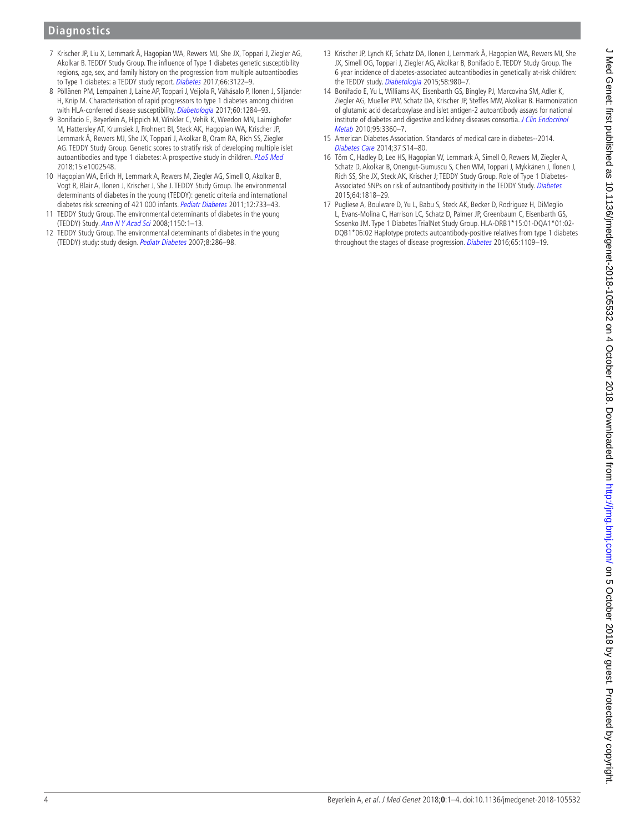# **Diagnostics**

- <span id="page-3-6"></span>7 Krischer JP, Liu X, Lernmark Å, Hagopian WA, Rewers MJ, She JX, Toppari J, Ziegler AG, Akolkar B. TEDDY Study Group. The influence of Type 1 diabetes genetic susceptibility regions, age, sex, and family history on the progression from multiple autoantibodies to Type 1 diabetes: a TEDDY study report. [Diabetes](http://dx.doi.org/10.2337/db17-0261) 2017;66:3122-9.
- 8 Pöllänen PM, Lempainen J, Laine AP, Toppari J, Veijola R, Vähäsalo P, Ilonen J, Siljander H, Knip M. Characterisation of rapid progressors to type 1 diabetes among children with HLA-conferred disease susceptibility. [Diabetologia](http://dx.doi.org/10.1007/s00125-017-4258-7) 2017;60:1284-93.
- <span id="page-3-0"></span>9 Bonifacio E, Beyerlein A, Hippich M, Winkler C, Vehik K, Weedon MN, Laimighofer M, Hattersley AT, Krumsiek J, Frohnert BI, Steck AK, Hagopian WA, Krischer JP, Lernmark Å, Rewers MJ, She JX, Toppari J, Akolkar B, Oram RA, Rich SS, Ziegler AG. TEDDY Study Group. Genetic scores to stratify risk of developing multiple islet autoantibodies and type 1 diabetes: A prospective study in children. [PLoS Med](http://dx.doi.org/10.1371/journal.pmed.1002548) 2018;15:e1002548.
- <span id="page-3-1"></span>10 Hagopian WA, Erlich H, Lernmark A, Rewers M, Ziegler AG, Simell O, Akolkar B, Vogt R, Blair A, Ilonen J, Krischer J, She J. TEDDY Study Group. The environmental determinants of diabetes in the young (TEDDY): genetic criteria and international diabetes risk screening of 421 000 infants. [Pediatr Diabetes](http://dx.doi.org/10.1111/j.1399-5448.2011.00774.x) 2011;12:733-43.
- 11 TEDDY Study Group. The environmental determinants of diabetes in the young (TEDDY) Study. [Ann N Y Acad Sci](http://dx.doi.org/10.1196/annals.1447.062) 2008;1150:1–13.
- 12 TEDDY Study Group. The environmental determinants of diabetes in the young (TEDDY) study: study design. [Pediatr Diabetes](http://dx.doi.org/10.1111/j.1399-5448.2007.00269.x) 2007;8:286–98.
- <span id="page-3-2"></span>13 Krischer JP, Lynch KF, Schatz DA, Ilonen J, Lernmark Å, Hagopian WA, Rewers MJ, She JX, Simell OG, Toppari J, Ziegler AG, Akolkar B, Bonifacio E. TEDDY Study Group. The 6 year incidence of diabetes-associated autoantibodies in genetically at-risk children: the TEDDY study. [Diabetologia](http://dx.doi.org/10.1007/s00125-015-3514-y) 2015;58:980-7.
- 14 Bonifacio E, Yu L, Williams AK, Eisenbarth GS, Bingley PJ, Marcovina SM, Adler K, Ziegler AG, Mueller PW, Schatz DA, Krischer JP, Steffes MW, Akolkar B. Harmonization of glutamic acid decarboxylase and islet antigen-2 autoantibody assays for national institute of diabetes and digestive and kidney diseases consortia. J Clin Endocrinol [Metab](http://dx.doi.org/10.1210/jc.2010-0293) 2010;95:3360–7.
- <span id="page-3-3"></span>15 American Diabetes Association. Standards of medical care in diabetes--2014. [Diabetes Care](http://dx.doi.org/10.2337/dc14-S014) 2014;37:S14–80.
- <span id="page-3-4"></span>16 Törn C, Hadley D, Lee HS, Hagopian W, Lernmark Å, Simell O, Rewers M, Ziegler A, Schatz D, Akolkar B, Onengut-Gumuscu S, Chen WM, Toppari J, Mykkänen J, Ilonen J, Rich SS, She JX, Steck AK, Krischer J; TEDDY Study Group. Role of Type 1 Diabetes-Associated SNPs on risk of autoantibody positivity in the TEDDY Study. [Diabetes](http://dx.doi.org/10.2337/db14-1497) 2015;64:1818–29.
- <span id="page-3-5"></span>17 Pugliese A, Boulware D, Yu L, Babu S, Steck AK, Becker D, Rodriguez H, DiMeglio L, Evans-Molina C, Harrison LC, Schatz D, Palmer JP, Greenbaum C, Eisenbarth GS, Sosenko JM. Type 1 Diabetes TrialNet Study Group. HLA-DRB1\*15:01-DQA1\*01:02- DQB1\*06:02 Haplotype protects autoantibody-positive relatives from type 1 diabetes throughout the stages of disease progression. [Diabetes](http://dx.doi.org/10.2337/db15-1105) 2016;65:1109-19.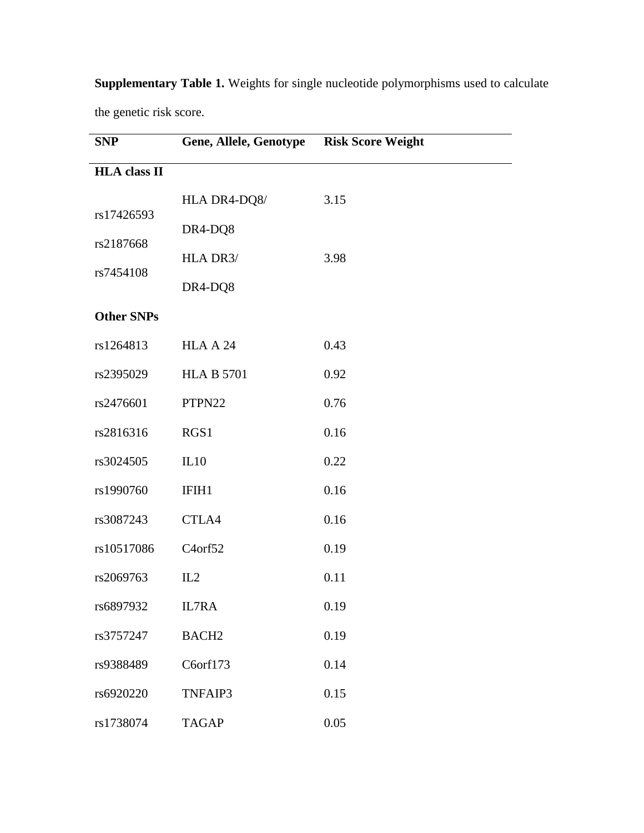| <b>SNP</b>          | <b>Gene, Allele, Genotype</b> | <b>Risk Score Weight</b> |
|---------------------|-------------------------------|--------------------------|
| <b>HLA</b> class II |                               |                          |
|                     | HLA DR4-DQ8/                  | 3.15                     |
| rs17426593          | DR4-DQ8                       |                          |
| rs2187668           | HLA DR3/                      | 3.98                     |
| rs7454108           | DR4-DQ8                       |                          |
| <b>Other SNPs</b>   |                               |                          |
| rs1264813           | HLAA24                        | 0.43                     |
| rs2395029           | <b>HLA B 5701</b>             | 0.92                     |
| rs2476601           | PTPN22                        | 0.76                     |
| rs2816316           | RGS1                          | 0.16                     |
| rs3024505           | IL10                          | 0.22                     |
| rs1990760           | IFIH1                         | 0.16                     |
| rs3087243           | CTLA4                         | 0.16                     |
| rs10517086          | C <sub>4</sub> orf52          | 0.19                     |
| rs2069763           | IL2                           | 0.11                     |
| rs6897932           | IL7RA                         | 0.19                     |
| rs3757247           | BACH <sub>2</sub>             | 0.19                     |
| rs9388489           | C6orf173                      | 0.14                     |
| rs6920220           | TNFAIP3                       | 0.15                     |
| rs1738074           | <b>TAGAP</b>                  | 0.05                     |

**Supplementary Table 1.** Weights for single nucleotide polymorphisms used to calculate the genetic risk score.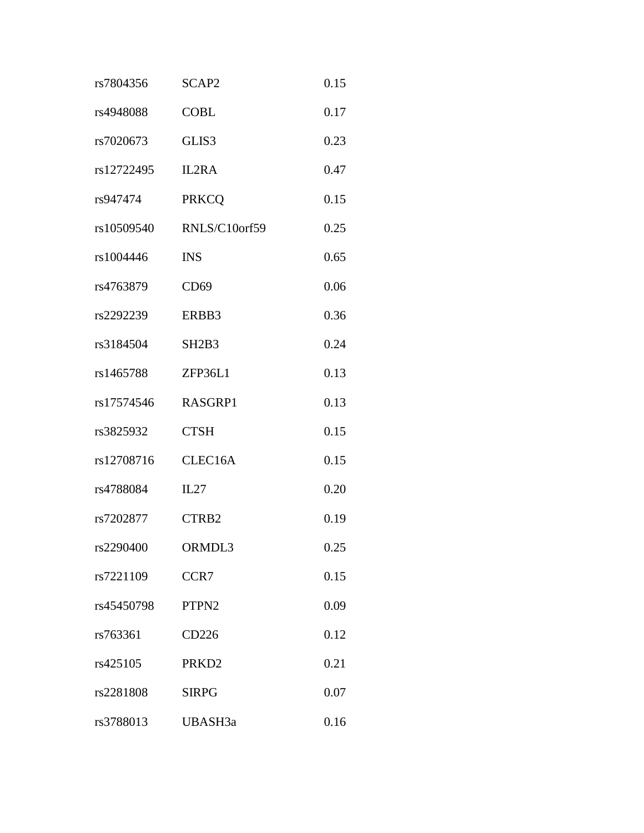| rs7804356  | SCAP2                          | 0.15 |
|------------|--------------------------------|------|
| rs4948088  | <b>COBL</b>                    | 0.17 |
| rs7020673  | GLIS3                          | 0.23 |
| rs12722495 | IL2RA                          | 0.47 |
| rs947474   | <b>PRKCQ</b>                   | 0.15 |
| rs10509540 | RNLS/C10orf59                  | 0.25 |
| rs1004446  | <b>INS</b>                     | 0.65 |
| rs4763879  | CD69                           | 0.06 |
| rs2292239  | ERBB3                          | 0.36 |
| rs3184504  | SH <sub>2</sub> B <sub>3</sub> | 0.24 |
| rs1465788  | ZFP36L1                        | 0.13 |
| rs17574546 | RASGRP1                        | 0.13 |
| rs3825932  | <b>CTSH</b>                    | 0.15 |
| rs12708716 | CLEC16A                        | 0.15 |
| rs4788084  | IL27                           | 0.20 |
| rs7202877  | CTRB2                          | 0.19 |
| rs2290400  | ORMDL3                         | 0.25 |
| rs7221109  | CCR7                           | 0.15 |
| rs45450798 | PTPN <sub>2</sub>              | 0.09 |
| rs763361   | CD226                          | 0.12 |
| rs425105   | PRKD <sub>2</sub>              | 0.21 |
| rs2281808  | <b>SIRPG</b>                   | 0.07 |
| rs3788013  | UBASH3a                        | 0.16 |